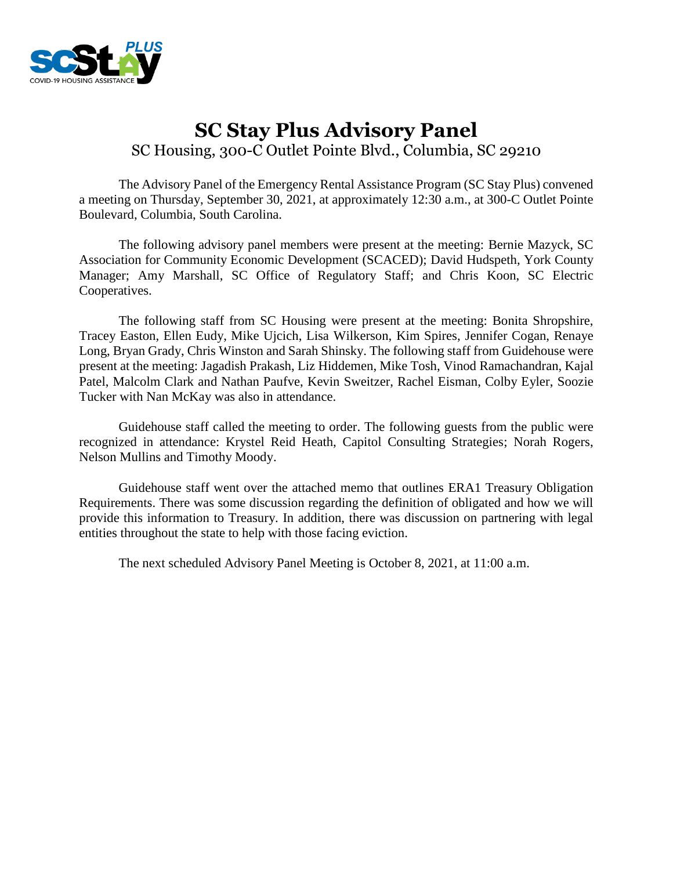

## **SC Stay Plus Advisory Panel** SC Housing, 300-C Outlet Pointe Blvd., Columbia, SC 29210

The Advisory Panel of the Emergency Rental Assistance Program (SC Stay Plus) convened a meeting on Thursday, September 30, 2021, at approximately 12:30 a.m., at 300-C Outlet Pointe Boulevard, Columbia, South Carolina.

The following advisory panel members were present at the meeting: Bernie Mazyck, SC Association for Community Economic Development (SCACED); David Hudspeth, York County Manager; Amy Marshall, SC Office of Regulatory Staff; and Chris Koon, SC Electric Cooperatives.

The following staff from SC Housing were present at the meeting: Bonita Shropshire, Tracey Easton, Ellen Eudy, Mike Ujcich, Lisa Wilkerson, Kim Spires, Jennifer Cogan, Renaye Long, Bryan Grady, Chris Winston and Sarah Shinsky. The following staff from Guidehouse were present at the meeting: Jagadish Prakash, Liz Hiddemen, Mike Tosh, Vinod Ramachandran, Kajal Patel, Malcolm Clark and Nathan Paufve, Kevin Sweitzer, Rachel Eisman, Colby Eyler, Soozie Tucker with Nan McKay was also in attendance.

Guidehouse staff called the meeting to order. The following guests from the public were recognized in attendance: Krystel Reid Heath, Capitol Consulting Strategies; Norah Rogers, Nelson Mullins and Timothy Moody.

Guidehouse staff went over the attached memo that outlines ERA1 Treasury Obligation Requirements. There was some discussion regarding the definition of obligated and how we will provide this information to Treasury. In addition, there was discussion on partnering with legal entities throughout the state to help with those facing eviction.

The next scheduled Advisory Panel Meeting is October 8, 2021, at 11:00 a.m.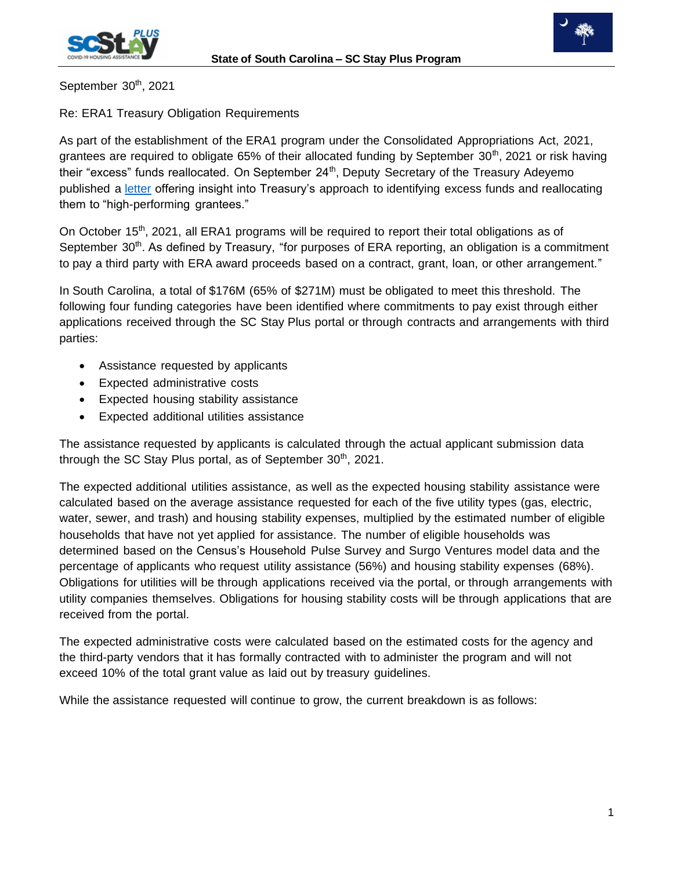



September 30<sup>th</sup>, 2021

Re: ERA1 Treasury Obligation Requirements

As part of the establishment of the ERA1 program under the Consolidated Appropriations Act, 2021, grantees are required to obligate  $65%$  of their allocated funding by September  $30<sup>th</sup>$ , 2021 or risk having their "excess" funds reallocated. On September 24<sup>th</sup>, Deputy Secretary of the Treasury Adeyemo published a [letter](https://home.treasury.gov/system/files/136/Deputy-Secretary-ERA-Letter_20210924.pdf) offering insight into Treasury's approach to identifying excess funds and reallocating them to "high-performing grantees."

On October 15<sup>th</sup>, 2021, all ERA1 programs will be required to report their total obligations as of September 30<sup>th</sup>. As defined by Treasury, "for purposes of ERA reporting, an obligation is a commitment to pay a third party with ERA award proceeds based on a contract, grant, loan, or other arrangement."

In South Carolina, a total of \$176M (65% of \$271M) must be obligated to meet this threshold. The following four funding categories have been identified where commitments to pay exist through either applications received through the SC Stay Plus portal or through contracts and arrangements with third parties:

- Assistance requested by applicants
- Expected administrative costs
- Expected housing stability assistance
- Expected additional utilities assistance

The assistance requested by applicants is calculated through the actual applicant submission data through the SC Stay Plus portal, as of September  $30<sup>th</sup>$ , 2021.

The expected additional utilities assistance, as well as the expected housing stability assistance were calculated based on the average assistance requested for each of the five utility types (gas, electric, water, sewer, and trash) and housing stability expenses, multiplied by the estimated number of eligible households that have not yet applied for assistance. The number of eligible households was determined based on the Census's Household Pulse Survey and Surgo Ventures model data and the percentage of applicants who request utility assistance (56%) and housing stability expenses (68%). Obligations for utilities will be through applications received via the portal, or through arrangements with utility companies themselves. Obligations for housing stability costs will be through applications that are received from the portal.

The expected administrative costs were calculated based on the estimated costs for the agency and the third-party vendors that it has formally contracted with to administer the program and will not exceed 10% of the total grant value as laid out by treasury guidelines.

While the assistance requested will continue to grow, the current breakdown is as follows: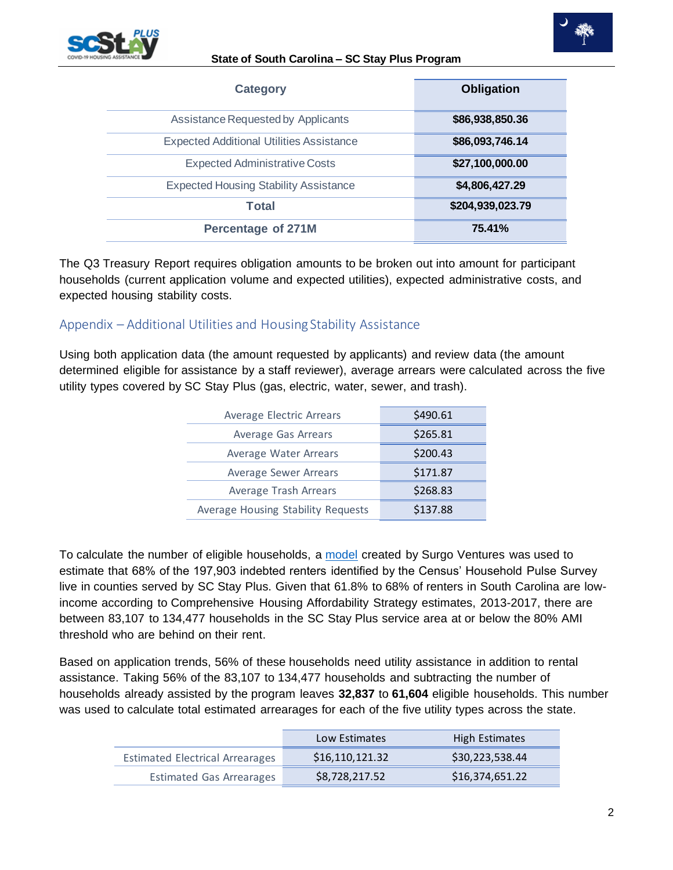

## **State of South Carolina – SC Stay Plus Program**

| <b>Category</b>                                 | <b>Obligation</b> |
|-------------------------------------------------|-------------------|
| Assistance Requested by Applicants              | \$86,938,850.36   |
| <b>Expected Additional Utilities Assistance</b> | \$86,093,746.14   |
| <b>Expected Administrative Costs</b>            | \$27,100,000.00   |
| <b>Expected Housing Stability Assistance</b>    | \$4,806,427.29    |
| <b>Total</b>                                    | \$204,939,023.79  |
| <b>Percentage of 271M</b>                       | 75.41%            |

The Q3 Treasury Report requires obligation amounts to be broken out into amount for participant households (current application volume and expected utilities), expected administrative costs, and expected housing stability costs.

## Appendix – Additional Utilities and Housing Stability Assistance

Using both application data (the amount requested by applicants) and review data (the amount determined eligible for assistance by a staff reviewer), average arrears were calculated across the five utility types covered by SC Stay Plus (gas, electric, water, sewer, and trash).

| Average Electric Arrears           | \$490.61 |
|------------------------------------|----------|
| <b>Average Gas Arrears</b>         | \$265.81 |
| Average Water Arrears              | \$200.43 |
| Average Sewer Arrears              | \$171.87 |
| Average Trash Arrears              | \$268.83 |
| Average Housing Stability Requests | \$137.88 |

To calculate the number of eligible households, a [model](https://surgo-housing-vulnerability.s3.amazonaws.com/FINAL_SurgoVentures_RentalArrearsinthePandemic_Methodology_July2021.pdf) created by Surgo Ventures was used to estimate that 68% of the 197,903 indebted renters identified by the Census' Household Pulse Survey live in counties served by SC Stay Plus. Given that 61.8% to 68% of renters in South Carolina are lowincome according to Comprehensive Housing Affordability Strategy estimates, 2013-2017, there are between 83,107 to 134,477 households in the SC Stay Plus service area at or below the 80% AMI threshold who are behind on their rent.

Based on application trends, 56% of these households need utility assistance in addition to rental assistance. Taking 56% of the 83,107 to 134,477 households and subtracting the number of households already assisted by the program leaves **32,837** to **61,604** eligible households. This number was used to calculate total estimated arrearages for each of the five utility types across the state.

|                                        | Low Estimates   | High Estimates  |
|----------------------------------------|-----------------|-----------------|
| <b>Estimated Electrical Arrearages</b> | \$16,110,121.32 | \$30,223,538.44 |
| <b>Estimated Gas Arrearages</b>        | \$8,728,217.52  | \$16,374,651.22 |